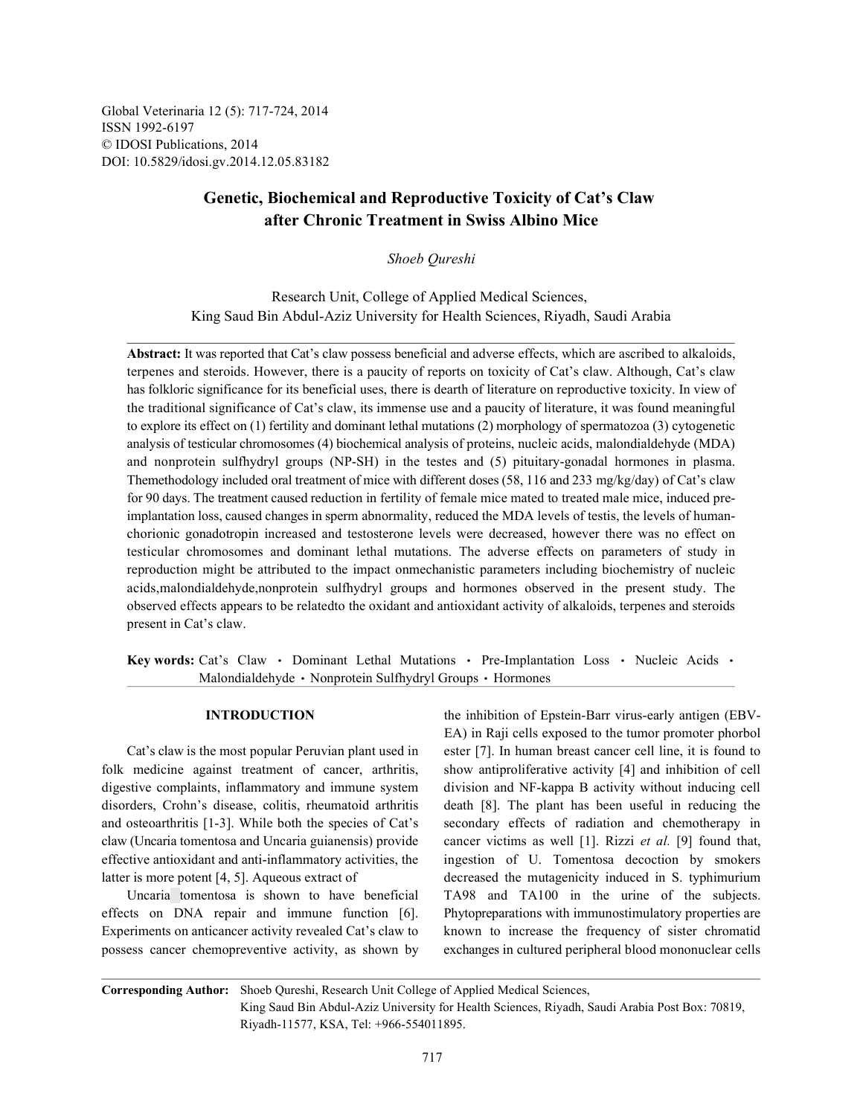Global Veterinaria 12 (5): 717-724, 2014 ISSN 1992-6197 © IDOSI Publications, 2014 DOI: 10.5829/idosi.gv.2014.12.05.83182

# **Genetic, Biochemical and Reproductive Toxicity of Cat's Claw after Chronic Treatment in Swiss Albino Mice**

*Shoeb Qureshi*

Research Unit, College of Applied Medical Sciences, King Saud Bin Abdul-Aziz University for Health Sciences, Riyadh, Saudi Arabia

**Abstract:** It was reported that Cat's claw possess beneficial and adverse effects, which are ascribed to alkaloids, terpenes and steroids. However, there is a paucity of reports on toxicity of Cat's claw. Although, Cat's claw has folkloric significance for its beneficial uses, there is dearth of literature on reproductive toxicity. In view of the traditional significance of Cat's claw, its immense use and a paucity of literature, it was found meaningful to explore its effect on (1) fertility and dominant lethal mutations (2) morphology of spermatozoa (3) cytogenetic analysis of testicular chromosomes (4) biochemical analysis of proteins, nucleic acids, malondialdehyde (MDA) and nonprotein sulfhydryl groups (NP-SH) in the testes and (5) pituitary-gonadal hormones in plasma. Themethodology included oral treatment of mice with different doses (58, 116 and 233 mg/kg/day) of Cat's claw for 90 days. The treatment caused reduction in fertility of female mice mated to treated male mice, induced preimplantation loss, caused changes in sperm abnormality, reduced the MDA levels of testis, the levels of humanchorionic gonadotropin increased and testosterone levels were decreased, however there was no effect on testicular chromosomes and dominant lethal mutations. The adverse effects on parameters of study in reproduction might be attributed to the impact onmechanistic parameters including biochemistry of nucleic acids,malondialdehyde,nonprotein sulfhydryl groups and hormones observed in the present study. The observed effects appears to be relatedto the oxidant and antioxidant activity of alkaloids, terpenes and steroids present in Cat's claw.

**Key words:** Cat's Claw • Dominant Lethal Mutations • Pre-Implantation Loss • Nucleic Acids • Malondialdehyde • Nonprotein Sulfhydryl Groups • Hormones

digestive complaints, inflammatory and immune system division and NF-kappa B activity without inducing cell disorders, Crohn's disease, colitis, rheumatoid arthritis death [8]. The plant has been useful in reducing the and osteoarthritis [1-3]. While both the species of Cat's secondary effects of radiation and chemotherapy in effective antioxidant and anti-inflammatory activities, the ingestion of U. Tomentosa decoction by smokers

possess cancer chemopreventive activity, as shown by exchanges in cultured peripheral blood mononuclear cells

**INTRODUCTION** the inhibition of Epstein-Barr virus-early antigen (EBV-Cat's claw is the most popular Peruvian plant used in ester [7]. In human breast cancer cell line, it is found to folk medicine against treatment of cancer, arthritis, show antiproliferative activity [4] and inhibition of cell claw (Uncaria tomentosa and Uncaria guianensis) provide cancer victims as well [1]. Rizzi *et al.* [9] found that, latter is more potent [4, 5]. Aqueous extract of decreased the mutagenicity induced in S. typhimurium Uncaria tomentosa is shown to have beneficial TA98 and TA100 in the urine of the subjects. effects on DNA repair and immune function [6]. Phytopreparations with immunostimulatory properties are Experiments on anticancer activity revealed Cat's claw to known to increase the frequency of sister chromatid EA) in Raji cells exposed to the tumor promoter phorbol

**Corresponding Author:** Shoeb Qureshi, Research Unit College of Applied Medical Sciences, King Saud Bin Abdul-Aziz University for Health Sciences, Riyadh, Saudi Arabia Post Box: 70819, Riyadh-11577, KSA, Tel: +966-554011895.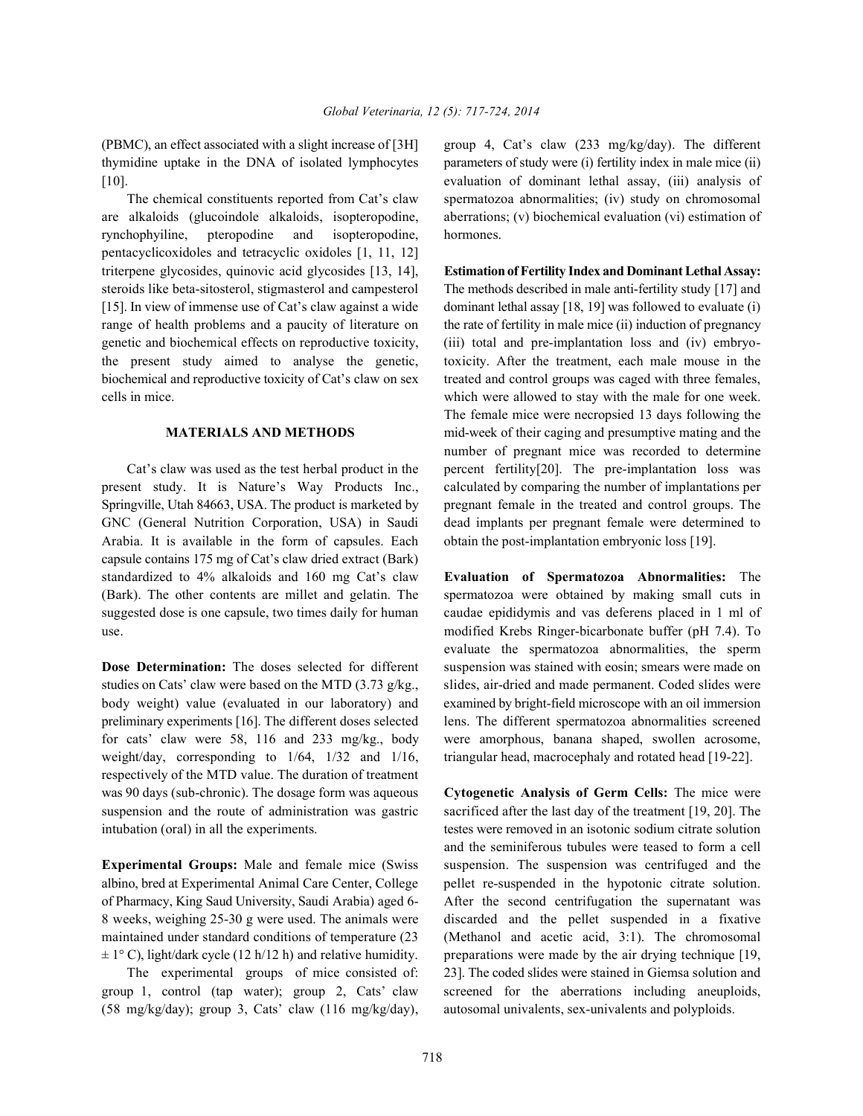are alkaloids (glucoindole alkaloids, isopteropodine, aberrations; (v) biochemical evaluation (vi) estimation of rynchophyiline, pteropodine and isopteropodine, hormones. pentacyclicoxidoles and tetracyclic oxidoles [1, 11, 12] triterpene glycosides, quinovic acid glycosides [13, 14], **Estimation of Fertility Index and Dominant Lethal Assay:** steroids like beta-sitosterol, stigmasterol and campesterol The methods described in male anti-fertility study [17] and [15]. In view of immense use of Cat's claw against a wide dominant lethal assay [18, 19] was followed to evaluate (i) range of health problems and a paucity of literature on the rate of fertility in male mice (ii) induction of pregnancy genetic and biochemical effects on reproductive toxicity, (iii) total and pre-implantation loss and (iv) embryothe present study aimed to analyse the genetic, toxicity. After the treatment, each male mouse in the biochemical and reproductive toxicity of Cat's claw on sex treated and control groups was caged with three females, cells in mice. which were allowed to stay with the male for one week.

present study. It is Nature's Way Products Inc., calculated by comparing the number of implantations per Springville, Utah 84663, USA. The product is marketed by pregnant female in the treated and control groups. The GNC (General Nutrition Corporation, USA) in Saudi dead implants per pregnant female were determined to Arabia. It is available in the form of capsules. Each obtain the post-implantation embryonic loss [19]. capsule contains 175 mg of Cat's claw dried extract (Bark) standardized to 4% alkaloids and 160 mg Cat's claw **Evaluation of Spermatozoa Abnormalities:** The (Bark). The other contents are millet and gelatin. The spermatozoa were obtained by making small cuts in suggested dose is one capsule, two times daily for human caudae epididymis and vas deferens placed in 1 ml of use. modified Krebs Ringer-bicarbonate buffer (pH 7.4). To

studies on Cats' claw were based on the MTD  $(3.73 \text{ g/kg})$ , slides, air-dried and made permanent. Coded slides were body weight) value (evaluated in our laboratory) and examined by bright-field microscope with an oil immersion preliminary experiments [16]. The different doses selected lens. The different spermatozoa abnormalities screened for cats' claw were 58, 116 and 233 mg/kg., body were amorphous, banana shaped, swollen acrosome, weight/day, corresponding to  $1/64$ ,  $1/32$  and  $1/16$ , triangular head, macrocephaly and rotated head [19-22]. respectively of the MTD value. The duration of treatment was 90 days (sub-chronic). The dosage form was aqueous **Cytogenetic Analysis of Germ Cells:** The mice were suspension and the route of administration was gastric sacrificed after the last day of the treatment [19, 20]. The intubation (oral) in all the experiments. testes were removed in an isotonic sodium citrate solution

albino, bred at Experimental Animal Care Center, College pellet re-suspended in the hypotonic citrate solution. 8 weeks, weighing 25-30 g were used. The animals were discarded and the pellet suspended in a fixative  $\pm$  1° C), light/dark cycle (12 h/12 h) and relative humidity. preparations were made by the air drying technique [19,

group 1, control (tap water); group 2, Cats' claw screened for the aberrations including aneuploids, (58 mg/kg/day); group 3, Cats' claw (116 mg/kg/day), autosomal univalents, sex-univalents and polyploids.

(PBMC), an effect associated with a slight increase of [3H] group 4, Cat's claw (233 mg/kg/day). The different thymidine uptake in the DNA of isolated lymphocytes parameters of study were (i) fertility index in male mice (ii) [10]. evaluation of dominant lethal assay, (iii) analysis of The chemical constituents reported from Cat's claw spermatozoa abnormalities; (iv) study on chromosomal

**MATERIALS AND METHODS** mid-week of their caging and presumptive mating and the Cat's claw was used as the test herbal product in the percent fertility[20]. The pre-implantation loss was The female mice were necropsied 13 days following the number of pregnant mice was recorded to determine

**Dose Determination:** The doses selected for different suspension was stained with eosin; smears were made on evaluate the spermatozoa abnormalities, the sperm

**Experimental Groups:** Male and female mice (Swiss suspension. The suspension was centrifuged and the of Pharmacy, King Saud University, Saudi Arabia) aged 6- After the second centrifugation the supernatant was maintained under standard conditions of temperature (23 (Methanol and acetic acid, 3:1). The chromosomal The experimental groups of mice consisted of: 23]. The coded slides were stained in Giemsa solution and and the seminiferous tubules were teased to form a cell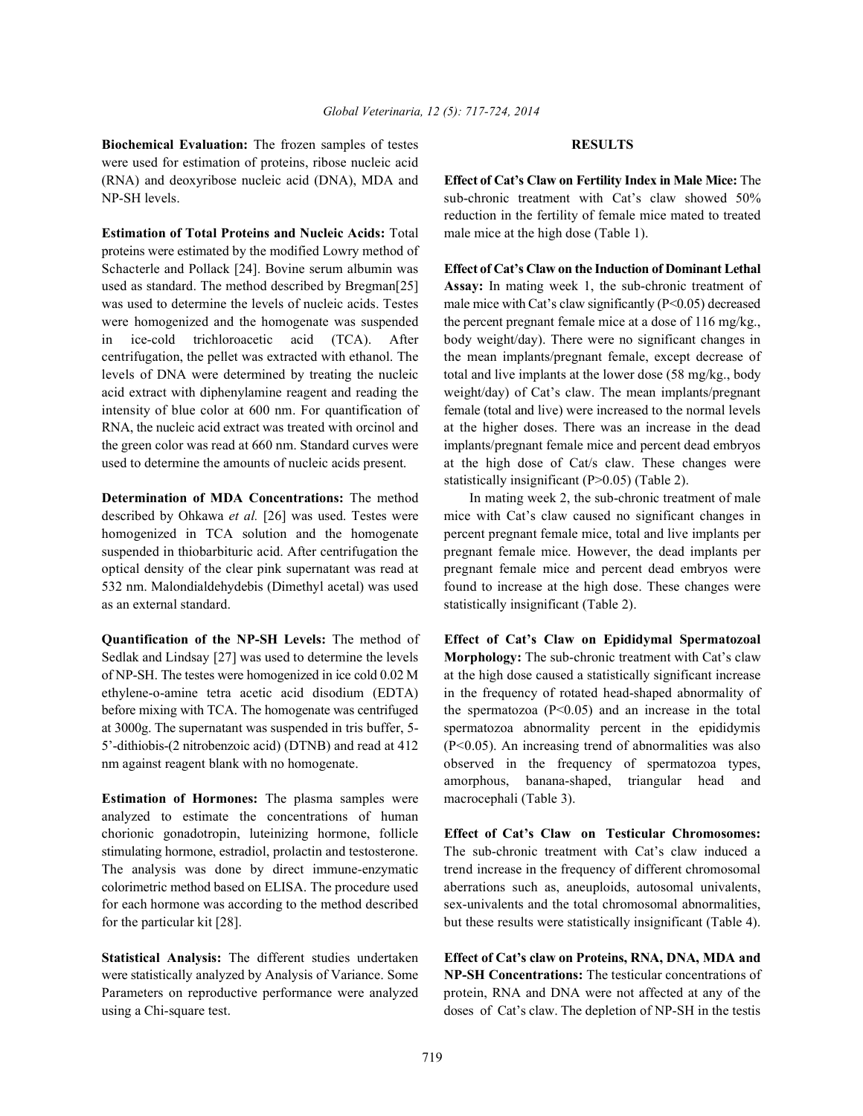**Biochemical Evaluation:** The frozen samples of testes **RESULTS** were used for estimation of proteins, ribose nucleic acid (RNA) and deoxyribose nucleic acid (DNA), MDA and **Effect of Cat's Claw on Fertility Index in Male Mice:** The

**Estimation of Total Proteins and Nucleic Acids:** Total male mice at the high dose (Table 1). proteins were estimated by the modified Lowry method of Schacterle and Pollack [24]. Bovine serum albumin was **Effect of Cat's Claw on the Induction of Dominant Lethal** used as standard. The method described by Bregman[25] **Assay:** In mating week 1, the sub-chronic treatment of was used to determine the levels of nucleic acids. Testes male mice with Cat's claw significantly  $(P<0.05)$  decreased were homogenized and the homogenate was suspended the percent pregnant female mice at a dose of 116 mg/kg., in ice-cold trichloroacetic acid (TCA). After body weight/day). There were no significant changes in centrifugation, the pellet was extracted with ethanol. The the mean implants/pregnant female, except decrease of levels of DNA were determined by treating the nucleic total and live implants at the lower dose (58 mg/kg., body acid extract with diphenylamine reagent and reading the weight/day) of Cat's claw. The mean implants/pregnant intensity of blue color at 600 nm. For quantification of female (total and live) were increased to the normal levels RNA, the nucleic acid extract was treated with orcinol and at the higher doses. There was an increase in the dead the green color was read at 660 nm. Standard curves were implants/pregnant female mice and percent dead embryos used to determine the amounts of nucleic acids present. at the high dose of Cat/s claw. These changes were

as an external standard. Statistically insignificant (Table 2).

**Quantification of the NP-SH Levels:** The method of **Effect of Cat's Claw on Epididymal Spermatozoal** Sedlak and Lindsay [27] was used to determine the levels **Morphology:** The sub-chronic treatment with Cat's claw of NP-SH. The testes were homogenized in ice cold 0.02 M at the high dose caused a statistically significant increase ethylene-o-amine tetra acetic acid disodium (EDTA) in the frequency of rotated head-shaped abnormality of before mixing with TCA. The homogenate was centrifuged the spermatozoa (P<0.05) and an increase in the total at 3000g. The supernatant was suspended in tris buffer, 5- spermatozoa abnormality percent in the epididymis 5'-dithiobis-(2 nitrobenzoic acid) (DTNB) and read at 412 (P<0.05). An increasing trend of abnormalities was also nm against reagent blank with no homogenate.  $\blacksquare$  observed in the frequency of spermatozoa types,

**Estimation of Hormones:** The plasma samples were macrocephali (Table 3). analyzed to estimate the concentrations of human chorionic gonadotropin, luteinizing hormone, follicle **Effect of Cat's Claw on Testicular Chromosomes:** stimulating hormone, estradiol, prolactin and testosterone. The sub-chronic treatment with Cat's claw induced a The analysis was done by direct immune-enzymatic trend increase in the frequency of different chromosomal colorimetric method based on ELISA. The procedure used aberrations such as, aneuploids, autosomal univalents, for each hormone was according to the method described sex-univalents and the total chromosomal abnormalities, for the particular kit [28]. but these results were statistically insignificant (Table 4).

NP-SH levels. sub-chronic treatment with Cat's claw showed 50% reduction in the fertility of female mice mated to treated

statistically insignificant (P>0.05) (Table 2).

**Determination of MDA Concentrations:** The method In mating week 2, the sub-chronic treatment of male described by Ohkawa et al. [26] was used. Testes were mice with Cat's claw caused no significant changes in homogenized in TCA solution and the homogenate percent pregnant female mice, total and live implants per suspended in thiobarbituric acid. After centrifugation the pregnant female mice. However, the dead implants per optical density of the clear pink supernatant was read at pregnant female mice and percent dead embryos were 532 nm. Malondialdehydebis (Dimethyl acetal) was used found to increase at the high dose. These changes were

amorphous, banana-shaped, triangular head and

**Statistical Analysis:** The different studies undertaken **Effect of Cat's claw on Proteins, RNA, DNA, MDA and** were statistically analyzed by Analysis of Variance. Some **NP-SH Concentrations:** The testicular concentrations of Parameters on reproductive performance were analyzed protein, RNA and DNA were not affected at any of the using a Chi-square test. doses of Cat's claw. The depletion of NP-SH in the testis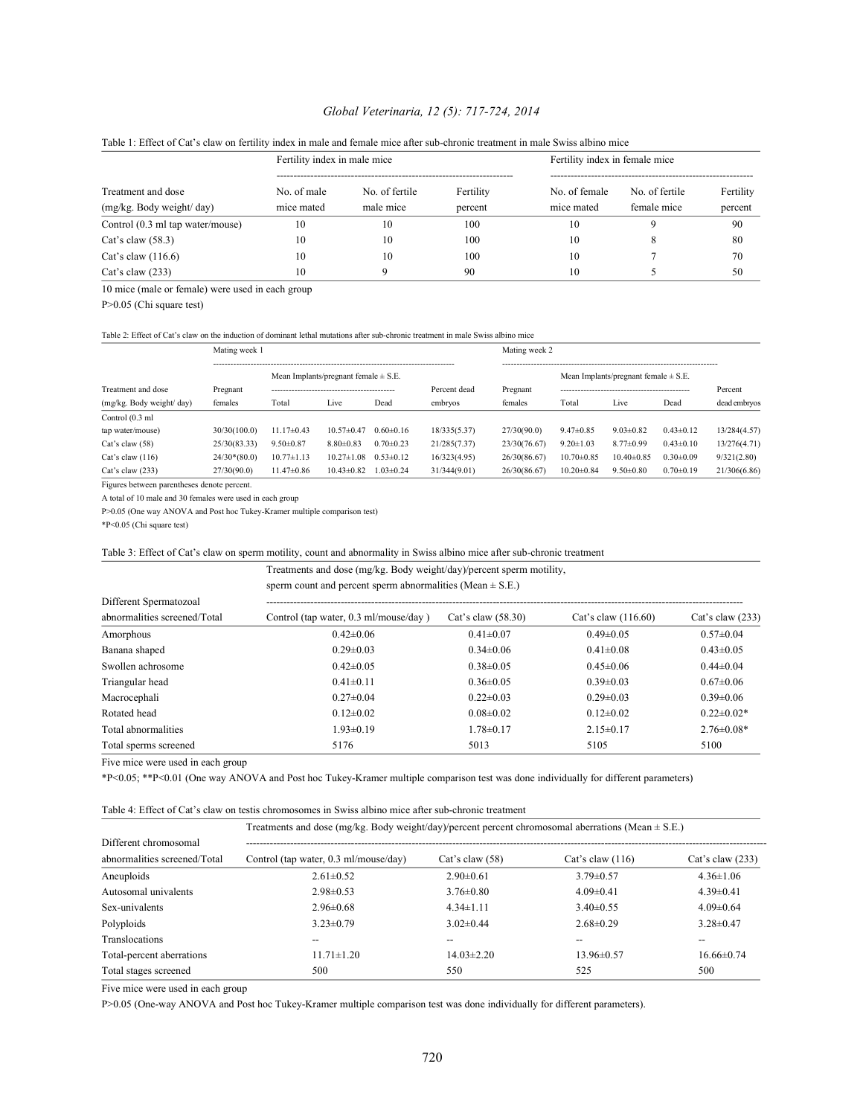# *Global Veterinaria, 12 (5): 717-724, 2014*

| Treatment and dose               | Fertility index in male mice |                |           | Fertility index in female mice |                |           |
|----------------------------------|------------------------------|----------------|-----------|--------------------------------|----------------|-----------|
|                                  | No. of male                  | No. of fertile | Fertility | No. of female                  | No. of fertile | Fertility |
| (mg/kg. Body weight/ day)        | mice mated                   | male mice      | percent   | mice mated                     | female mice    | percent   |
| Control (0.3 ml tap water/mouse) | 10                           | 10             | 100       | 10                             |                | 90        |
| Cat's claw $(58.3)$              | 10                           | 10             | 100       | 10                             |                | 80        |
| Cat's claw $(116.6)$             | 10                           | 10             | 100       | 10                             |                | 70        |
| Cat's claw $(233)$               | 10                           |                | 90        | 10                             |                | 50        |

### Table 1: Effect of Cat's claw on fertility index in male and female mice after sub-chronic treatment in male Swiss albino mice

10 mice (male or female) were used in each group

P>0.05 (Chi square test)

### Table 2: Effect of Cat's claw on the induction of dominant lethal mutations after sub-chronic treatment in male Swiss albino mice

|                           |                |                                          |                  | Mating week 2   |              |                                          |                  |                  |                 |              |
|---------------------------|----------------|------------------------------------------|------------------|-----------------|--------------|------------------------------------------|------------------|------------------|-----------------|--------------|
|                           |                | Mean Implants/pregnant female $\pm$ S.E. |                  |                 |              | Mean Implants/pregnant female $\pm$ S.E. |                  |                  |                 |              |
| Treatment and dose        | Pregnant       |                                          |                  |                 | Percent dead | Pregnant                                 |                  |                  |                 | Percent      |
| (mg/kg. Body weight/ day) | females        | Total                                    | Live             | Dead            | embryos      | females                                  | Total            | Live             | Dead            | dead embryos |
| Control (0.3 ml           |                |                                          |                  |                 |              |                                          |                  |                  |                 |              |
| tap water/mouse)          | 30/30(100.0)   | $11.17\pm0.43$                           | $10.57\pm 0.47$  | $0.60 \pm 0.16$ | 18/335(5.37) | 27/30(90.0)                              | $9.47\pm0.85$    | $903\pm0.82$     | $0.43 \pm 0.12$ | 13/284(4.57) |
| Cat's claw $(58)$         | 25/30(83.33)   | $9.50 \pm 0.87$                          | $8.80\pm0.83$    | $0.70 \pm 0.23$ | 21/285(7.37) | 23/30(76.67)                             | $9.20 \pm 1.03$  | $8.77 \pm 0.99$  | $0.43 \pm 0.10$ | 13/276(4.71) |
| Cat's claw $(116)$        | $24/30*(80.0)$ | $10.77 \pm 1.13$                         | $10.27 \pm 1.08$ | $0.53 \pm 0.12$ | 16/323(4.95) | 26/30(86.67)                             | $10.70 \pm 0.85$ | $10.40 \pm 0.85$ | $0.30 \pm 0.09$ | 9/321(2.80)  |
| Cat's claw $(233)$        | 27/30(90.0)    | $11.47\pm0.86$                           | $10.43 \pm 0.82$ | $1.03 \pm 0.24$ | 31/344(9.01) | 26/30(86.67)                             | $10.20 \pm 0.84$ | $9.50 \pm 0.80$  | $0.70 \pm 0.19$ | 21/306(6.86) |
|                           |                |                                          |                  |                 |              |                                          |                  |                  |                 |              |

Figures between parentheses denote percent.

A total of 10 male and 30 females were used in each group

P>0.05 (One way ANOVA and Post hoc Tukey-Kramer multiple comparison test)

\*P<0.05 (Chi square test)

## Table 3: Effect of Cat's claw on sperm motility, count and abnormality in Swiss albino mice after sub-chronic treatment

|                              | Treatments and dose (mg/kg. Body weight/day)/percent sperm motility,<br>sperm count and percent sperm abnormalities (Mean $\pm$ S.E.) |                      |                       |                    |  |  |  |
|------------------------------|---------------------------------------------------------------------------------------------------------------------------------------|----------------------|-----------------------|--------------------|--|--|--|
|                              |                                                                                                                                       |                      |                       |                    |  |  |  |
| Different Spermatozoal       |                                                                                                                                       |                      |                       |                    |  |  |  |
| abnormalities screened/Total | Control (tap water, 0.3 ml/mouse/day)                                                                                                 | Cat's claw $(58.30)$ | Cat's claw $(116.60)$ | Cat's claw $(233)$ |  |  |  |
| Amorphous                    | $0.42\pm0.06$                                                                                                                         | $0.41 \pm 0.07$      | $0.49 \pm 0.05$       | $0.57 \pm 0.04$    |  |  |  |
| Banana shaped                | $0.29 \pm 0.03$                                                                                                                       | $0.34 \pm 0.06$      | $0.41 \pm 0.08$       | $0.43 \pm 0.05$    |  |  |  |
| Swollen achrosome            | $0.42\pm0.05$                                                                                                                         | $0.38 \pm 0.05$      | $0.45 \pm 0.06$       | $0.44\pm 0.04$     |  |  |  |
| Triangular head              | $0.41 \pm 0.11$                                                                                                                       | $0.36 \pm 0.05$      | $0.39 \pm 0.03$       | $0.67 \pm 0.06$    |  |  |  |
| Macrocephali                 | $0.27 \pm 0.04$                                                                                                                       | $0.22 \pm 0.03$      | $0.29 \pm 0.03$       | $0.39 \pm 0.06$    |  |  |  |
| Rotated head                 | $0.12 \pm 0.02$                                                                                                                       | $0.08 \pm 0.02$      | $0.12 \pm 0.02$       | $0.22 \pm 0.02*$   |  |  |  |
| Total abnormalities          | $1.93 \pm 0.19$                                                                                                                       | $1.78 \pm 0.17$      | $2.15 \pm 0.17$       | $2.76 \pm 0.08*$   |  |  |  |
| Total sperms screened        | 5176                                                                                                                                  | 5013                 | 5105                  | 5100               |  |  |  |

Five mice were used in each group

\*P<0.05; \*\*P<0.01 (One way ANOVA and Post hoc Tukey-Kramer multiple comparison test was done individually for different parameters)

### Table 4: Effect of Cat's claw on testis chromosomes in Swiss albino mice after sub-chronic treatment

|                              | Treatments and dose (mg/kg. Body weight/day)/percent percent chromosomal aberrations (Mean $\pm$ S.E.) |                   |                    |                          |  |  |
|------------------------------|--------------------------------------------------------------------------------------------------------|-------------------|--------------------|--------------------------|--|--|
| Different chromosomal        |                                                                                                        |                   |                    |                          |  |  |
| abnormalities screened/Total | Control (tap water, 0.3 ml/mouse/day)                                                                  | Cat's claw $(58)$ | Cat's claw $(116)$ | Cat's claw $(233)$       |  |  |
| Aneuploids                   | $2.61 \pm 0.52$                                                                                        | $2.90\pm0.61$     | $3.79 \pm 0.57$    | $4.36 \pm 1.06$          |  |  |
| Autosomal univalents         | $2.98 \pm 0.53$                                                                                        | $3.76 \pm 0.80$   | $4.09\pm0.41$      | $4.39\pm0.41$            |  |  |
| Sex-univalents               | $2.96\pm0.68$                                                                                          | $4.34 \pm 1.11$   | $3.40\pm0.55$      | $4.09 \pm 0.64$          |  |  |
| Polyploids                   | $3.23 \pm 0.79$                                                                                        | $3.02\pm0.44$     | $2.68\pm0.29$      | $3.28 \pm 0.47$          |  |  |
| Translocations               | --                                                                                                     |                   |                    | $\overline{\phantom{a}}$ |  |  |
| Total-percent aberrations    | $11.71 \pm 1.20$                                                                                       | $14.03 \pm 2.20$  | $13.96\pm 0.57$    | $16.66\pm0.74$           |  |  |
| Total stages screened        | 500                                                                                                    | 550               | 525                | 500                      |  |  |

Five mice were used in each group

P>0.05 (One-way ANOVA and Post hoc Tukey-Kramer multiple comparison test was done individually for different parameters).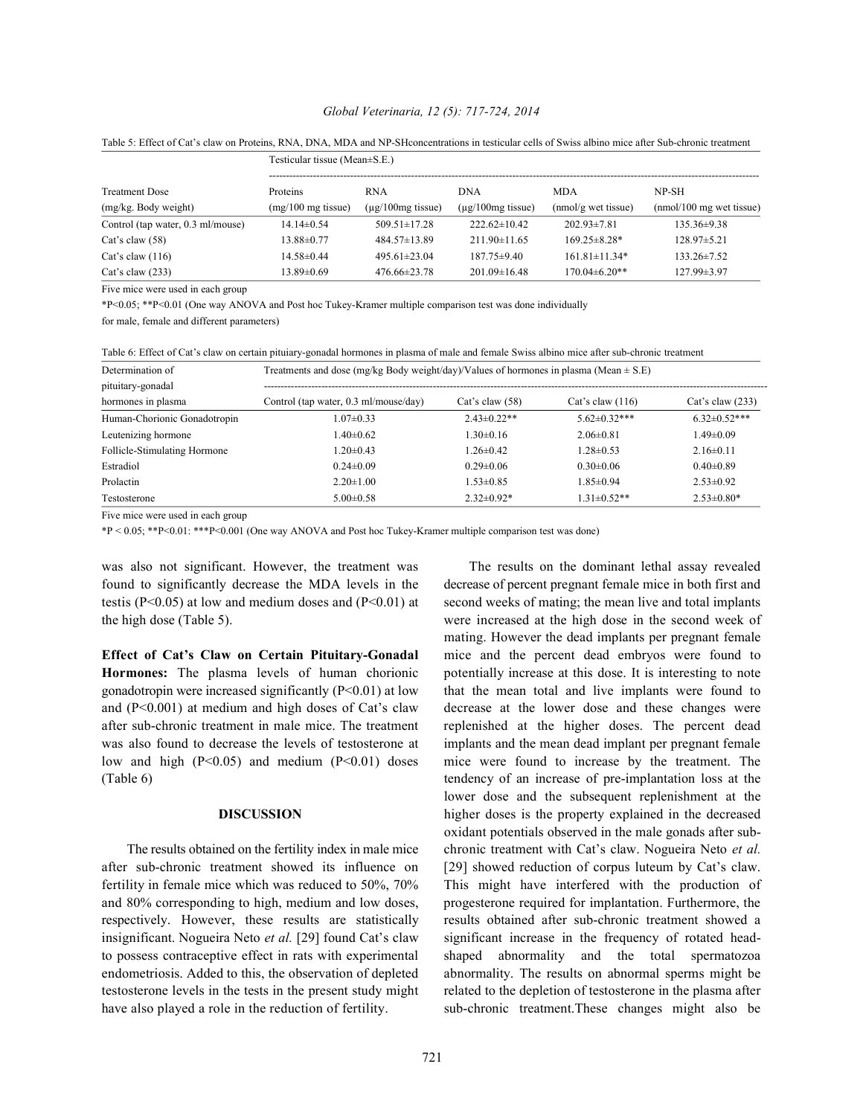### *Global Veterinaria, 12 (5): 717-724, 2014*

| Treatment Dose                    | Testicular tissue (Mean $\pm$ S.E.) |                         |                         |                       |                                    |  |  |
|-----------------------------------|-------------------------------------|-------------------------|-------------------------|-----------------------|------------------------------------|--|--|
|                                   | <b>Proteins</b>                     | <b>RNA</b>              | <b>DNA</b>              | <b>MDA</b>            | NP-SH                              |  |  |
| (mg/kg. Body weight)              | $(mg/100 \text{ mg tissue})$        | $(\mu$ g/100 mg tissue) | $(\mu$ g/100 mg tissue) | $(mmol/g$ wet tissue) | $(mmol/100 \text{ mg wet tissue})$ |  |  |
| Control (tap water, 0.3 ml/mouse) | $14.14\pm 0.54$                     | $509.51 \pm 17.28$      | $222.62\pm10.42$        | $202.93 \pm 7.81$     | $135.36 \pm 9.38$                  |  |  |
| Cat's claw $(58)$                 | $13.88 \pm 0.77$                    | 484.57±13.89            | $211.90\pm11.65$        | $169.25 \pm 8.28*$    | $128.97 \pm 5.21$                  |  |  |
| Cat's claw $(116)$                | $14.58\pm0.44$                      | $495.61 \pm 23.04$      | $187.75 \pm 9.40$       | $161.81 \pm 11.34*$   | $133.26 \pm 7.52$                  |  |  |
| Cat's claw $(233)$                | $13.89 \pm 0.69$                    | $476.66 \pm 23.78$      | $201.09 \pm 16.48$      | $170.04\pm 6.20**$    | 127.99±3.97                        |  |  |

Table 5: Effect of Cat's claw on Proteins, RNA, DNA, MDA and NP-SHconcentrations in testicular cells of Swiss albino mice after Sub-chronic treatment

Five mice were used in each group

\*P<0.05; \*\*P<0.01 (One way ANOVA and Post hoc Tukey-Kramer multiple comparison test was done individually

for male, female and different parameters)

| Determination of             | Treatments and dose (mg/kg Body weight/day)/Values of hormones in plasma (Mean $\pm$ S.E) |                   |                     |                    |  |  |  |  |
|------------------------------|-------------------------------------------------------------------------------------------|-------------------|---------------------|--------------------|--|--|--|--|
| pituitary-gonadal            |                                                                                           |                   |                     |                    |  |  |  |  |
| hormones in plasma           | Control (tap water, 0.3 ml/mouse/day)                                                     | Cat's claw $(58)$ | Cat's claw $(116)$  | Cat's claw $(233)$ |  |  |  |  |
| Human-Chorionic Gonadotropin | $1.07 \pm 0.33$                                                                           | $2.43\pm 0.22**$  | $5.62 \pm 0.32$ *** | $6.32\pm0.52***$   |  |  |  |  |
| Leutenizing hormone          | $-40\pm0.62$                                                                              | $1.30 \pm 0.16$   | $2.06\pm0.81$       | $1.49 \pm 0.09$    |  |  |  |  |
| Follicle-Stimulating Hormone | $.20\pm0.43$                                                                              | $1.26 \pm 0.42$   | $1.28 \pm 0.53$     | $2.16\pm0.11$      |  |  |  |  |
| Estradiol                    | $0.24 \pm 0.09$                                                                           | $0.29 \pm 0.06$   | $0.30 \pm 0.06$     | $0.40 \pm 0.89$    |  |  |  |  |
| Prolactin                    | $2.20 \pm 1.00$                                                                           | $1.53 \pm 0.85$   | $1.85 \pm 0.94$     | $2.53\pm0.92$      |  |  |  |  |
| Testosterone                 | $5.00 \pm 0.58$                                                                           | $2.32\pm0.92*$    | $1.31 \pm 0.52**$   | $2.53\pm0.80*$     |  |  |  |  |

Five mice were used in each group

\*P < 0.05; \*\*P<0.01: \*\*\*P<0.001 (One way ANOVA and Post hoc Tukey-Kramer multiple comparison test was done)

was also not significant. However, the treatment was The results on the dominant lethal assay revealed found to significantly decrease the MDA levels in the decrease of percent pregnant female mice in both first and testis (P<0.05) at low and medium doses and (P<0.01) at second weeks of mating; the mean live and total implants the high dose (Table 5). were increased at the high dose in the second week of

after sub-chronic treatment in male mice. The treatment replenished at the higher doses. The percent dead low and high (P<0.05) and medium (P<0.01) doses mice were found to increase by the treatment. The

after sub-chronic treatment showed its influence on [29] showed reduction of corpus luteum by Cat's claw. have also played a role in the reduction of fertility. Sub-chronic treatment. These changes might also be

**Effect of Cat's Claw on Certain Pituitary-Gonadal** mice and the percent dead embryos were found to **Hormones:** The plasma levels of human chorionic potentially increase at this dose. It is interesting to note gonadotropin were increased significantly  $(P<0.01)$  at low that the mean total and live implants were found to and  $(P<0.001)$  at medium and high doses of Cat's claw decrease at the lower dose and these changes were was also found to decrease the levels of testosterone at implants and the mean dead implant per pregnant female (Table 6) tendency of an increase of pre-implantation loss at the **DISCUSSION** higher doses is the property explained in the decreased The results obtained on the fertility index in male mice chronic treatment with Cat's claw. Nogueira Neto *et al.* fertility in female mice which was reduced to 50%, 70% This might have interfered with the production of and 80% corresponding to high, medium and low doses, progesterone required for implantation. Furthermore, the respectively. However, these results are statistically results obtained after sub-chronic treatment showed a insignificant. Nogueira Neto *et al.* [29] found Cat's claw significant increase in the frequency of rotated headto possess contraceptive effect in rats with experimental shaped abnormality and the total spermatozoa endometriosis. Added to this, the observation of depleted abnormality. The results on abnormal sperms might be testosterone levels in the tests in the present study might related to the depletion of testosterone in the plasma after mating. However the dead implants per pregnant female lower dose and the subsequent replenishment at the oxidant potentials observed in the male gonads after sub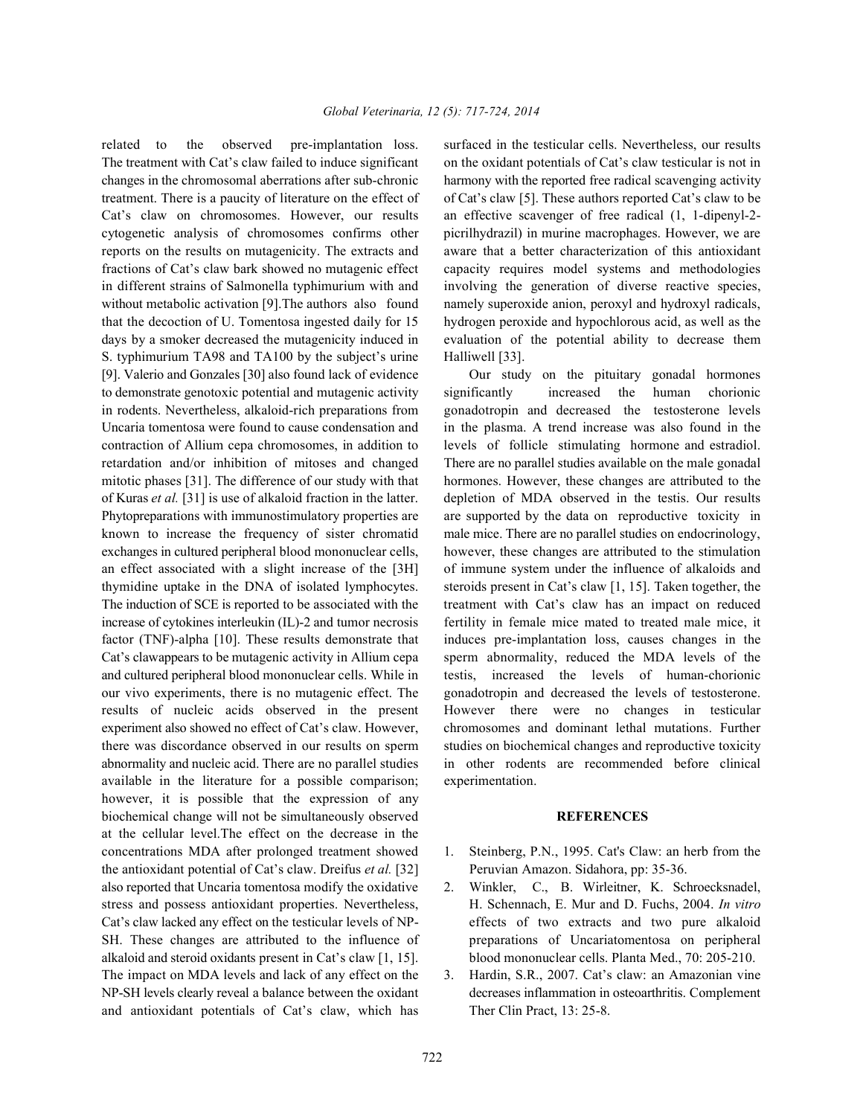The treatment with Cat's claw failed to induce significant on the oxidant potentials of Cat's claw testicular is not in changes in the chromosomal aberrations after sub-chronic harmony with the reported free radical scavenging activity treatment. There is a paucity of literature on the effect of of Cat's claw [5]. These authors reported Cat's claw to be Cat's claw on chromosomes. However, our results an effective scavenger of free radical (1, 1-dipenyl-2 cytogenetic analysis of chromosomes confirms other picrilhydrazil) in murine macrophages. However, we are reports on the results on mutagenicity. The extracts and aware that a better characterization of this antioxidant fractions of Cat's claw bark showed no mutagenic effect capacity requires model systems and methodologies in different strains of Salmonella typhimurium with and involving the generation of diverse reactive species, without metabolic activation [9]. The authors also found namely superoxide anion, peroxyl and hydroxyl radicals, that the decoction of U. Tomentosa ingested daily for 15 hydrogen peroxide and hypochlorous acid, as well as the days by a smoker decreased the mutagenicity induced in evaluation of the potential ability to decrease them S. typhimurium TA98 and TA100 by the subject's urine Halliwell [33]. [9]. Valerio and Gonzales [30] also found lack of evidence Our study on the pituitary gonadal hormones to demonstrate genotoxic potential and mutagenic activity significantly increased the human chorionic in rodents. Nevertheless, alkaloid-rich preparations from gonadotropin and decreased the testosterone levels Uncaria tomentosa were found to cause condensation and in the plasma. A trend increase was also found in the contraction of Allium cepa chromosomes, in addition to levels of follicle stimulating hormone and estradiol. retardation and/or inhibition of mitoses and changed There are no parallel studies available on the male gonadal mitotic phases [31]. The difference of our study with that hormones. However, these changes are attributed to the of Kuras *et al.* [31] is use of alkaloid fraction in the latter. depletion of MDA observed in the testis. Our results Phytopreparations with immunostimulatory properties are are supported by the data on reproductive toxicity in known to increase the frequency of sister chromatid male mice. There are no parallel studies on endocrinology, exchanges in cultured peripheral blood mononuclear cells, however, these changes are attributed to the stimulation an effect associated with a slight increase of the [3H] of immune system under the influence of alkaloids and thymidine uptake in the DNA of isolated lymphocytes. steroids present in Cat's claw [1, 15]. Taken together, the The induction of SCE is reported to be associated with the treatment with Cat's claw has an impact on reduced increase of cytokines interleukin (IL)-2 and tumor necrosis fertility in female mice mated to treated male mice, it factor (TNF)-alpha [10]. These results demonstrate that induces pre-implantation loss, causes changes in the Cat's clawappears to be mutagenic activity in Allium cepa sperm abnormality, reduced the MDA levels of the and cultured peripheral blood mononuclear cells. While in testis, increased the levels of human-chorionic our vivo experiments, there is no mutagenic effect. The gonadotropin and decreased the levels of testosterone. results of nucleic acids observed in the present However there were no changes in testicular experiment also showed no effect of Cat's claw. However, chromosomes and dominant lethal mutations. Further there was discordance observed in our results on sperm studies on biochemical changes and reproductive toxicity abnormality and nucleic acid. There are no parallel studies in other rodents are recommended before clinical available in the literature for a possible comparison; experimentation. however, it is possible that the expression of any biochemical change will not be simultaneously observed **REFERENCES** at the cellular level.The effect on the decrease in the concentrations MDA after prolonged treatment showed 1. Steinberg, P.N., 1995. Cat's Claw: an herb from the the antioxidant potential of Cat's claw. Dreifus *et al.* [32] Peruvian Amazon. Sidahora, pp: 35-36. also reported that Uncaria tomentosa modify the oxidative 2. Winkler, C., B. Wirleitner, K. Schroecksnadel, stress and possess antioxidant properties. Nevertheless, H. Schennach, E. Mur and D. Fuchs, 2004. *In vitro* Cat's claw lacked any effect on the testicular levels of NP- effects of two extracts and two pure alkaloid SH. These changes are attributed to the influence of preparations of Uncariatomentosa on peripheral alkaloid and steroid oxidants present in Cat's claw [1, 15]. blood mononuclear cells. Planta Med., 70: 205-210. The impact on MDA levels and lack of any effect on the 3. Hardin, S.R., 2007. Cat's claw: an Amazonian vine NP-SH levels clearly reveal a balance between the oxidant decreases inflammation in osteoarthritis. Complement and antioxidant potentials of Cat's claw, which has Ther Clin Pract, 13: 25-8.

related to the observed pre-implantation loss. surfaced in the testicular cells. Nevertheless, our results

- 
- 
-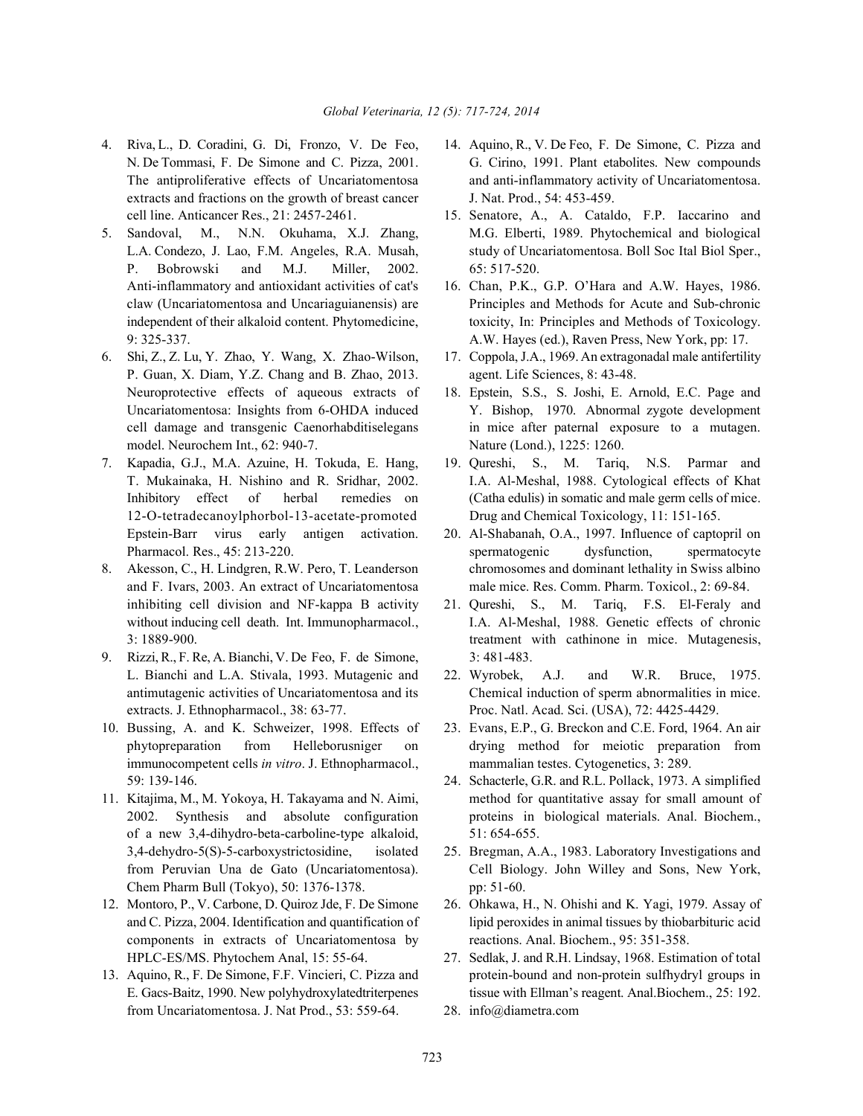- 4. Riva, L., D. Coradini, G. Di, Fronzo, V. De Feo, 14. Aquino, R., V. De Feo, F. De Simone, C. Pizza and extracts and fractions on the growth of breast cancer J. Nat. Prod., 54: 453-459.
- P. Bobrowski and M.J. Miller, 2002. 65: 517-520. Anti-inflammatory and antioxidant activities of cat's 16. Chan, P.K., G.P. O'Hara and A.W. Hayes, 1986.
- 6. Shi, Z., Z. Lu, Y. Zhao, Y. Wang, X. Zhao-Wilson, 17. Coppola, J.A., 1969. An extragonadal male antifertility P. Guan, X. Diam, Y.Z. Chang and B. Zhao, 2013. agent. Life Sciences, 8: 43-48. Neuroprotective effects of aqueous extracts of 18. Epstein, S.S., S. Joshi, E. Arnold, E.C. Page and model. Neurochem Int., 62: 940-7. Nature (Lond.), 1225: 1260.
- 12-O-tetradecanoylphorbol-13-acetate-promoted Drug and Chemical Toxicology, 11: 151-165. Epstein-Barr virus early antigen activation. 20. Al-Shabanah, O.A., 1997. Influence of captopril on
- inhibiting cell division and NF-kappa B activity 21. Qureshi, S., M. Tariq, F.S. El-Feraly and
- 9. Rizzi, R., F. Re, A. Bianchi, V. De Feo, F. de Simone, 3: 481-483. L. Bianchi and L.A. Stivala, 1993. Mutagenic and 22. Wyrobek, A.J. and W.R. Bruce, 1975. extracts. J. Ethnopharmacol., 38: 63-77. Proc. Natl. Acad. Sci. (USA), 72: 4425-4429.
- immunocompetent cells *in vitro*. J. Ethnopharmacol., mammalian testes. Cytogenetics, 3: 289. 59: 139-146. 24. Schacterle, G.R. and R.L. Pollack, 1973. A simplified
- of a new 3,4-dihydro-beta-carboline-type alkaloid, 51: 654-655. Chem Pharm Bull (Tokyo), 50: 1376-1378. pp: 51-60.
- components in extracts of Uncariatomentosa by reactions. Anal. Biochem., 95: 351-358. HPLC-ES/MS. Phytochem Anal, 15: 55-64. 27. Sedlak, J. and R.H. Lindsay, 1968. Estimation of total
- from Uncariatomentosa. J. Nat Prod., 53: 559-64. 28. info@diametra.com
- N. De Tommasi, F. De Simone and C. Pizza, 2001. G. Cirino, 1991. Plant etabolites. New compounds The antiproliferative effects of Uncariatomentosa and anti-inflammatory activity of Uncariatomentosa.
- cell line. Anticancer Res., 21: 2457-2461. 15. Senatore, A., A. Cataldo, F.P. Iaccarino and 5. Sandoval, M., N.N. Okuhama, X.J. Zhang, M.G. Elberti, 1989. Phytochemical and biological L.A. Condezo, J. Lao, F.M. Angeles, R.A. Musah, study of Uncariatomentosa. Boll Soc Ital Biol Sper.,
	- claw (Uncariatomentosa and Uncariaguianensis) are Principles and Methods for Acute and Sub-chronic independent of their alkaloid content. Phytomedicine, toxicity, In: Principles and Methods of Toxicology. 9: 325-337. A.W. Hayes (ed.), Raven Press, New York, pp: 17.
		-
	- Uncariatomentosa: Insights from 6-OHDA induced Y. Bishop, 1970. Abnormal zygote development cell damage and transgenic Caenorhabditiselegans in mice after paternal exposure to a mutagen.
- 7. Kapadia, G.J., M.A. Azuine, H. Tokuda, E. Hang, 19. Qureshi, S., M. Tariq, N.S. Parmar and T. Mukainaka, H. Nishino and R. Sridhar, 2002. I.A. Al-Meshal, 1988. Cytological effects of Khat Inhibitory effect of herbal remedies on (Catha edulis) in somatic and male germ cells of mice.
- Pharmacol. Res., 45: 213-220. spermatogenic dysfunction, spermatocyte 8. Akesson, C., H. Lindgren, R.W. Pero, T. Leanderson chromosomes and dominant lethality in Swiss albino and F. Ivars, 2003. An extract of Uncariatomentosa male mice. Res. Comm. Pharm. Toxicol., 2: 69-84.
	- without inducing cell death. Int. Immunopharmacol., <br>I.A. Al-Meshal, 1988. Genetic effects of chronic 3: 1889-900. treatment with cathinone in mice. Mutagenesis,
	- antimutagenic activities of Uncariatomentosa and its Chemical induction of sperm abnormalities in mice.
- 10. Bussing, A. and K. Schweizer, 1998. Effects of 23. Evans, E.P., G. Breckon and C.E. Ford, 1964. An air phytopreparation from Helleborusniger on drying method for meiotic preparation from
- 11. Kitajima, M., M. Yokoya, H. Takayama and N. Aimi, method for quantitative assay for small amount of 2002. Synthesis and absolute configuration proteins in biological materials. Anal. Biochem.,
	- 3,4-dehydro-5(S)-5-carboxystrictosidine, isolated 25. Bregman, A.A., 1983. Laboratory Investigations and from Peruvian Una de Gato (Uncariatomentosa). Cell Biology. John Willey and Sons, New York,
- 12. Montoro, P., V. Carbone, D. Quiroz Jde, F. De Simone 26. Ohkawa, H., N. Ohishi and K. Yagi, 1979. Assay of and C. Pizza, 2004. Identification and quantification of lipid peroxides in animal tissues by thiobarbituric acid
- 13. Aquino, R., F. De Simone, F.F. Vincieri, C. Pizza and protein-bound and non-protein sulfhydryl groups in E. Gacs-Baitz, 1990. New polyhydroxylatedtriterpenes tissue with Ellman's reagent. Anal.Biochem., 25: 192.
	-